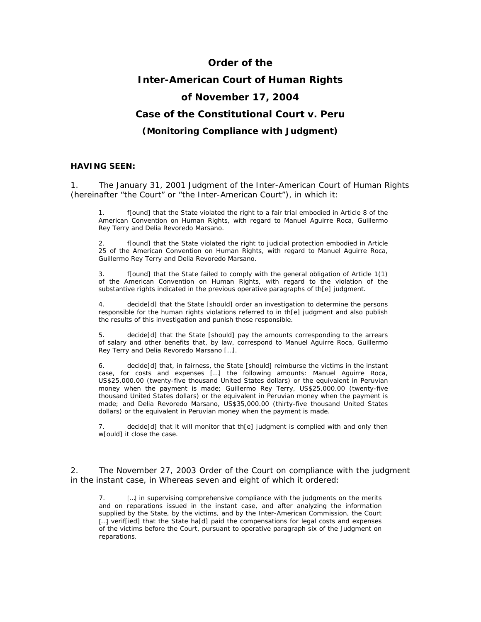# **Order of the Inter-American Court of Human Rights of November 17, 2004 Case of the Constitutional Court** *v***. Peru**

*(Monitoring Compliance with Judgment)* 

#### **HAVING SEEN:**

1. The January 31, 2001 Judgment of the Inter-American Court of Human Rights (hereinafter "the Court" or "the Inter-American Court"), in which it:

1. f[ound] that the State violated the right to a fair trial embodied in Article 8 of the American Convention on Human Rights, with regard to Manuel Aguirre Roca, Guillermo Rey Terry and Delia Revoredo Marsano.

2. f[ound] that the State violated the right to judicial protection embodied in Article 25 of the American Convention on Human Rights, with regard to Manuel Aguirre Roca, Guillermo Rey Terry and Delia Revoredo Marsano.

3. f[ound] that the State failed to comply with the general obligation of Article 1(1) of the American Convention on Human Rights, with regard to the violation of the substantive rights indicated in the previous operative paragraphs of th[e] judgment.

4. decide[d] that the State [should] order an investigation to determine the persons responsible for the human rights violations referred to in th[e] judgment and also publish the results of this investigation and punish those responsible.

5. decide[d] that the State [should] pay the amounts corresponding to the arrears of salary and other benefits that, by law, correspond to Manuel Aguirre Roca, Guillermo Rey Terry and Delia Revoredo Marsano […].

6. decide[d] that, in fairness, the State [should] reimburse the victims in the instant case, for costs and expenses […] the following amounts: Manuel Aguirre Roca, US\$25,000.00 (twenty-five thousand United States dollars) or the equivalent in Peruvian money when the payment is made; Guillermo Rey Terry, US\$25,000.00 (twenty-five thousand United States dollars) or the equivalent in Peruvian money when the payment is made; and Delia Revoredo Marsano, US\$35,000.00 (thirty-five thousand United States dollars) or the equivalent in Peruvian money when the payment is made.

decide[d] that it will monitor that th[e] judgment is complied with and only then w[ould] it close the case.

2. The November 27, 2003 Order of the Court on compliance with the judgment in the instant case, in Whereas seven and eight of which it ordered:

7. […] in supervising comprehensive compliance with the judgments on the merits and on reparations issued in the instant case, and after analyzing the information supplied by the State, by the victims, and by the Inter-American Commission, the Court [...] verif[ied] that the State ha[d] paid the compensations for legal costs and expenses of the victims before the Court, pursuant to operative paragraph six of the Judgment on reparations.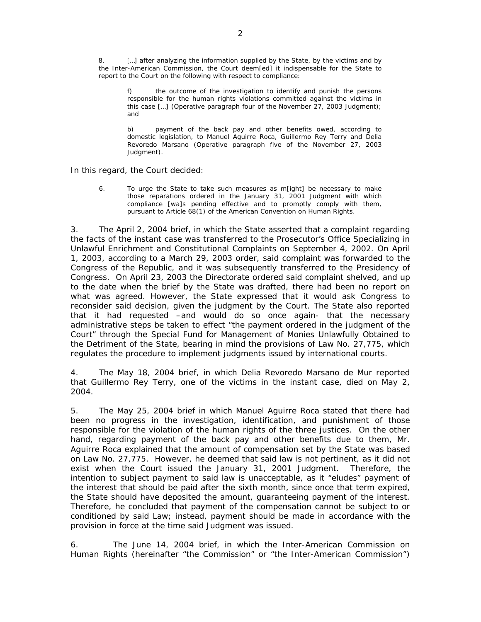8. [...] after analyzing the information supplied by the State, by the victims and by the Inter-American Commission, the Court deem[ed] it indispensable for the State to report to the Court on the following with respect to compliance:

f) the outcome of the investigation to identify and punish the persons responsible for the human rights violations committed against the victims in this case […] *(Operative paragraph four of the November 27, 2003 Judgment);*  and

b) payment of the back pay and other benefits owed, according to domestic legislation, to Manuel Aguirre Roca, Guillermo Rey Terry and Delia Revoredo Marsano *(Operative paragraph five of the November 27, 2003 Judgment).* 

In this regard, the Court decided:

6. To urge the State to take such measures as m[ight] be necessary to make those reparations ordered in the January 31, 2001 Judgment with which compliance [wa]s pending effective and to promptly comply with them, pursuant to Article 68(1) of the American Convention on Human Rights.

3. The April 2, 2004 brief, in which the State asserted that a complaint regarding the facts of the instant case was transferred to the Prosecutor's Office Specializing in Unlawful Enrichment and Constitutional Complaints on September 4, 2002. On April 1, 2003, according to a March 29, 2003 order, said complaint was forwarded to the Congress of the Republic, and it was subsequently transferred to the Presidency of Congress. On April 23, 2003 the Directorate ordered said complaint shelved, and up to the date when the brief by the State was drafted, there had been no report on what was agreed. However, the State expressed that it would ask Congress to reconsider said decision, given the judgment by the Court. The State also reported that it had requested –and would do so once again- that the necessary administrative steps be taken to effect "the payment ordered in the judgment of the Court" through the Special Fund for Management of Monies Unlawfully Obtained to the Detriment of the State, bearing in mind the provisions of Law No. 27,775, which regulates the procedure to implement judgments issued by international courts.

4. The May 18, 2004 brief, in which Delia Revoredo Marsano de Mur reported that Guillermo Rey Terry, one of the victims in the instant case, died on May 2, 2004.

5. The May 25, 2004 brief in which Manuel Aguirre Roca stated that there had been no progress in the investigation, identification, and punishment of those responsible for the violation of the human rights of the three justices. On the other hand, regarding payment of the back pay and other benefits due to them, Mr. Aguirre Roca explained that the amount of compensation set by the State was based on Law No. 27,775. However, he deemed that said law is not pertinent, as it did not exist when the Court issued the January 31, 2001 Judgment. Therefore, the intention to subject payment to said law is unacceptable, as it "eludes" payment of the interest that should be paid after the sixth month, since once that term expired, the State should have deposited the amount, guaranteeing payment of the interest. Therefore, he concluded that payment of the compensation cannot be subject to or conditioned by said Law; instead, payment should be made in accordance with the provision in force at the time said Judgment was issued.

6. The June 14, 2004 brief, in which the Inter-American Commission on Human Rights (hereinafter "the Commission" or "the Inter-American Commission")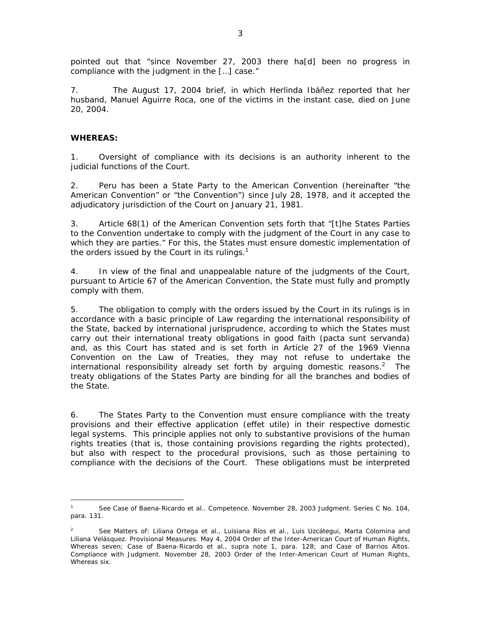pointed out that "since November 27, 2003 there ha[d] been no progress in compliance with the judgment in the […] case."

7. The August 17, 2004 brief, in which Herlinda Ibáñez reported that her husband, Manuel Aguirre Roca, one of the victims in the instant case, died on June 20, 2004.

## **WHEREAS:**

 $\overline{a}$ 

1. Oversight of compliance with its decisions is an authority inherent to the judicial functions of the Court.

2. Peru has been a State Party to the American Convention (hereinafter "the American Convention" or "the Convention") since July 28, 1978, and it accepted the adjudicatory jurisdiction of the Court on January 21, 1981.

3. Article 68(1) of the American Convention sets forth that "[t]he States Parties to the Convention undertake to comply with the judgment of the Court in any case to which they are parties." For this, the States must ensure domestic implementation of the orders issued by the Court in its rulings. $1$ 

4. In view of the final and unappealable nature of the judgments of the Court, pursuant to Article 67 of the American Convention, the State must fully and promptly comply with them.

5. The obligation to comply with the orders issued by the Court in its rulings is in accordance with a basic principle of Law regarding the international responsibility of the State, backed by international jurisprudence, according to which the States must carry out their international treaty obligations in good faith *(pacta sunt servanda)*  and, as this Court has stated and is set forth in Article 27 of the 1969 Vienna Convention on the Law of Treaties, they may not refuse to undertake the international responsibility already set forth by arguing domestic reasons.<sup>2</sup> The treaty obligations of the States Party are binding for all the branches and bodies of the State.

6. The States Party to the Convention must ensure compliance with the treaty provisions and their effective application (*effet utile*) in their respective domestic legal systems. This principle applies not only to substantive provisions of the human rights treaties (that is, those containing provisions regarding the rights protected), but also with respect to the procedural provisions, such as those pertaining to compliance with the decisions of the Court. These obligations must be interpreted

<sup>1</sup> See *Case of Baena-Ricardo et al.*. *Competence.* November 28, 2003 Judgment. *Series C* No. 104, *para.* 131.

<sup>2</sup> See *Matters of: Liliana Ortega et al., Luisiana Ríos et al., Luis Uzcátegui, Marta Colomina and Liliana Velásquez*. Provisional Measures. May 4, 2004 Order of the Inter-American Court of Human Rights, Whereas seven; *Case of Baena-Ricardo et al.*, *supra* note 1, *para.* 128; and *Case of Barrios Altos.*  Compliance with Judgment. November 28, 2003 Order of the Inter-American Court of Human Rights, Whereas six.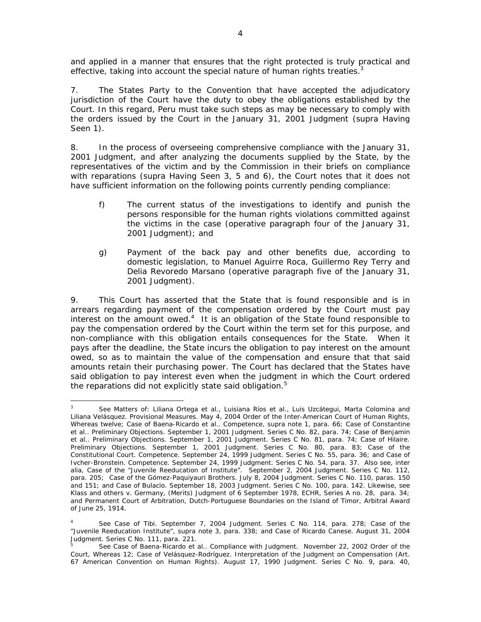and applied in a manner that ensures that the right protected is truly practical and effective, taking into account the special nature of human rights treaties. $3$ 

7. The States Party to the Convention that have accepted the adjudicatory jurisdiction of the Court have the duty to obey the obligations established by the Court. In this regard, Peru must take such steps as may be necessary to comply with the orders issued by the Court in the January 31, 2001 Judgment (*supra* Having Seen 1).

8. In the process of overseeing comprehensive compliance with the January 31, 2001 Judgment, and after analyzing the documents supplied by the State, by the representatives of the victim and by the Commission in their briefs on compliance with reparations (*supra* Having Seen 3, 5 and 6), the Court notes that it does not have sufficient information on the following points currently pending compliance:

- f) The current status of the investigations to identify and punish the persons responsible for the human rights violations committed against the victims in the case *(operative paragraph four of the January 31, 2001 Judgment);* and
- g) Payment of the back pay and other benefits due, according to domestic legislation, to Manuel Aguirre Roca, Guillermo Rey Terry and Delia Revoredo Marsano (*operative paragraph five of the January 31, 2001 Judgment*).

9. This Court has asserted that the State that is found responsible and is in arrears regarding payment of the compensation ordered by the Court must pay interest on the amount owed. $4$  It is an obligation of the State found responsible to pay the compensation ordered by the Court within the term set for this purpose, and non-compliance with this obligation entails consequences for the State. When it pays after the deadline, the State incurs the obligation to pay interest on the amount owed, so as to maintain the value of the compensation and ensure that that said amounts retain their purchasing power. The Court has declared that the States have said obligation to pay interest even when the judgment in which the Court ordered the reparations did not explicitly state said obligation.<sup>5</sup>

 $\overline{a}$ 3 See *Matters of: Liliana Ortega et al., Luisiana Ríos et al., Luis Uzcátegui, Marta Colomina and Liliana Velásquez*. Provisional Measures. May 4, 2004 Order of the Inter-American Court of Human Rights, Whereas twelve; *Case of Baena-Ricardo et al..* Competence*, supra* note 1, *para.* 66; *Case of Constantine et al.. Preliminary Objections.* September 1, 2001 Judgment. Series C No. 82, para. 74; *Case of Benjamin et al.. Preliminary Objections.* September 1, 2001 Judgment. Series C No. 81, para. 74; *Case of Hilaire. Preliminary Objections.* September 1, 2001 Judgment. Series C No. 80, para. 83; *Case of the Constitutional Court. Competence.* September 24, 1999 Judgment. *Series C* No. 55, *para.* 36; and *Case of Ivcher-Bronstein. Competence.* September 24, 1999 Judgment. *Series C* No. 54, *para.* 37. Also see*, inter alia, Case of the "Juvenile Reeducation of Institute"*. September 2, 2004 Judgment. *Series C* No. 112, *para.* 205; *Case of the Gómez-Paquiyauri Brothers*. July 8, 2004 Judgment. *Series C* No. 110, paras. 150 and 151; and *Case of Bulacio*. September 18, 2003 Judgment. *Series C* No. 100, *para.* 142. Likewise, see *Klass and others v. Germany, (Merits) Judgment of 6 September 1978, ECHR, Series A no. 28*, *para. 34;*  and *Permanent Court of Arbitration*, *Dutch-Portuguese Boundaries on the Island of Timor, Arbitral Award of June* 25, 1914.

<sup>4</sup> *See Case of Tibi*. September 7, 2004 Judgment. Series C No. 114, para. 278; *Case of the "Juvenile Reeducation Institute"*, *supra* note 3, para. 338; and *Case of Ricardo Canese*. August 31, 2004 Judgment. Series C No. 111, para. 221.

<sup>5</sup> *See Case of Baena-Ricardo et al.*. *Compliance with Judgment.* November 22, 2002 Order of the Court, Whereas 12; *Case of Velásquez-Rodríguez. Interpretation of the Judgment on Compensation* (Art. 67 American Convention on Human Rights). August 17, 1990 Judgment. Series C No. 9, para. 40,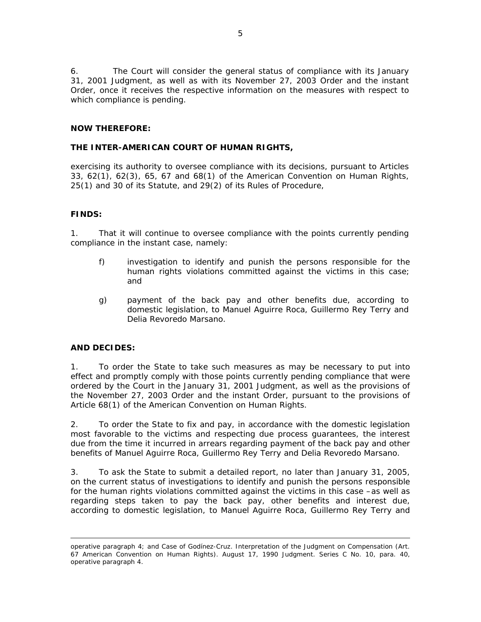6. The Court will consider the general status of compliance with its January 31, 2001 Judgment, as well as with its November 27, 2003 Order and the instant Order, once it receives the respective information on the measures with respect to which compliance is pending.

### **NOW THEREFORE:**

#### **THE INTER-AMERICAN COURT OF HUMAN RIGHTS,**

exercising its authority to oversee compliance with its decisions, pursuant to Articles 33, 62(1), 62(3), 65, 67 and 68(1) of the American Convention on Human Rights, 25(1) and 30 of its Statute, and 29(2) of its Rules of Procedure,

#### **FINDS:**

1. That it will continue to oversee compliance with the points currently pending compliance in the instant case, namely:

- f) investigation to identify and punish the persons responsible for the human rights violations committed against the victims in this case; and
- g) payment of the back pay and other benefits due, according to domestic legislation, to Manuel Aguirre Roca, Guillermo Rey Terry and Delia Revoredo Marsano.

## **AND DECIDES:**

 $\overline{a}$ 

1. To order the State to take such measures as may be necessary to put into effect and promptly comply with those points currently pending compliance that were ordered by the Court in the January 31, 2001 Judgment, as well as the provisions of the November 27, 2003 Order and the instant Order, pursuant to the provisions of Article 68(1) of the American Convention on Human Rights.

2. To order the State to fix and pay, in accordance with the domestic legislation most favorable to the victims and respecting due process guarantees, the interest due from the time it incurred in arrears regarding payment of the back pay and other benefits of Manuel Aguirre Roca, Guillermo Rey Terry and Delia Revoredo Marsano.

3. To ask the State to submit a detailed report, no later than January 31, 2005, on the current status of investigations to identify and punish the persons responsible for the human rights violations committed against the victims in this case –as well as regarding steps taken to pay the back pay, other benefits and interest due, according to domestic legislation, to Manuel Aguirre Roca, Guillermo Rey Terry and

operative paragraph 4; and *Case of Godínez-Cruz. Interpretation of the Judgment on Compensation* (Art. 67 American Convention on Human Rights). August 17, 1990 Judgment. Series C No. 10, para. 40, operative paragraph 4.